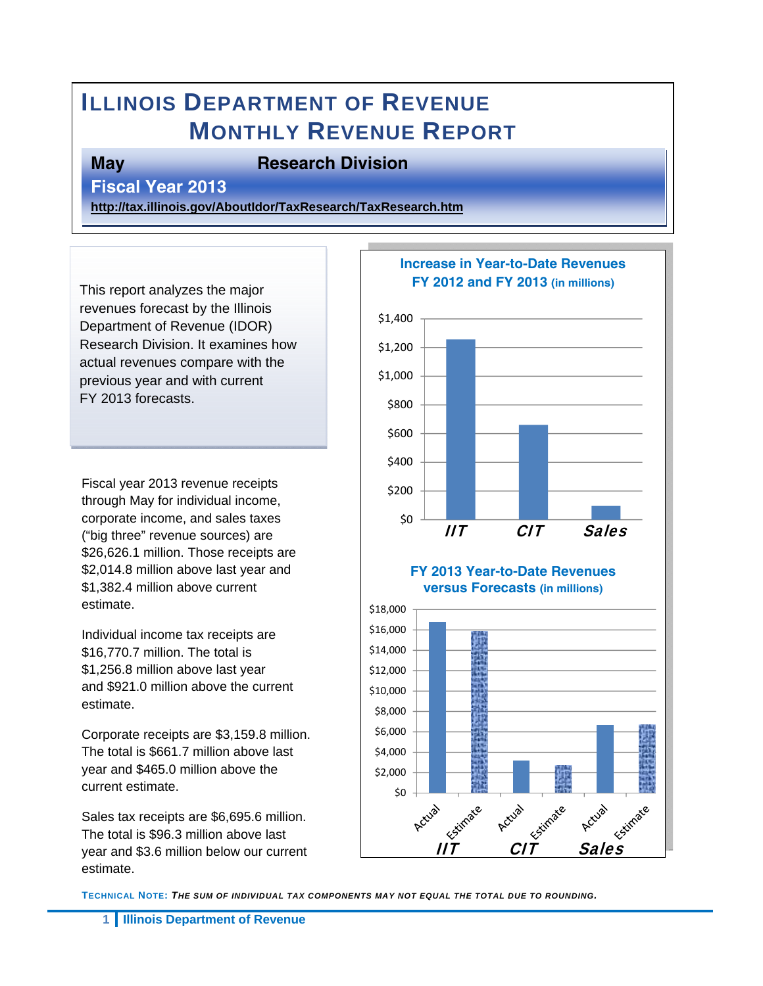# **ILLINOIS DEPARTMENT OF REVENUE MONTHLY REVENUE REPORT**

**May Besearch Division** 

**Fiscal Year 2013** 

**http://tax.illinois.gov/AboutIdor/TaxResearch/TaxResearch.htm**

This report analyzes the major revenues forecast by the Illinois Department of Revenue (IDOR) Research Division. It examines how actual revenues compare with the previous year and with current FY 2013 forecasts.

Fiscal year 2013 revenue receipts through May for individual income, corporate income, and sales taxes ("big three" revenue sources) are \$26,626.1 million. Those receipts are \$2,014.8 million above last year and \$1,382.4 million above current estimate.

Individual income tax receipts are \$16,770.7 million. The total is \$1,256.8 million above last year and \$921.0 million above the current estimate.

Corporate receipts are \$3,159.8 million. The total is \$661.7 million above last year and \$465.0 million above the current estimate.

Sales tax receipts are \$6,695.6 million. The total is \$96.3 million above last year and \$3.6 million below our current estimate.



**TECHNICAL NOTE:** *THE SUM OF INDIVIDUAL TAX COMPONENTS MAY NOT EQUAL THE TOTAL DUE TO ROUNDING.*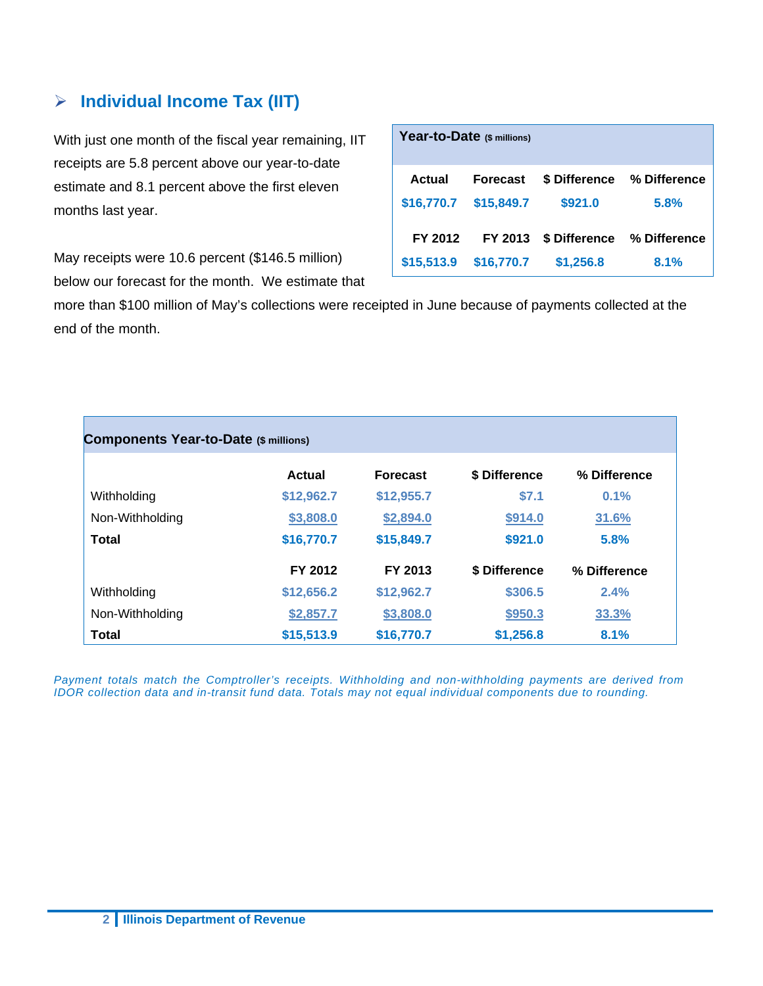#### **Individual Income Tax (IIT)**

With just one month of the fiscal year remaining, IIT receipts are 5.8 percent above our year-to-date estimate and 8.1 percent above the first eleven months last year.

May receipts were 10.6 percent (\$146.5 million) below our forecast for the month. We estimate that

| Year-to-Date (\$ millions) |                 |           |                            |  |  |  |  |
|----------------------------|-----------------|-----------|----------------------------|--|--|--|--|
| Actual                     | <b>Forecast</b> |           | \$ Difference % Difference |  |  |  |  |
| \$16,770.7                 | \$15,849.7      | \$921.0   | 5.8%                       |  |  |  |  |
| FY 2012                    | FY 2013         |           | \$ Difference % Difference |  |  |  |  |
| \$15,513.9                 | \$16,770.7      | \$1,256.8 | 8.1%                       |  |  |  |  |

more than \$100 million of May's collections were receipted in June because of payments collected at the end of the month.

| <b>Components Year-to-Date (\$ millions)</b> |            |                 |               |              |  |  |  |  |
|----------------------------------------------|------------|-----------------|---------------|--------------|--|--|--|--|
|                                              | Actual     | <b>Forecast</b> | \$ Difference | % Difference |  |  |  |  |
| Withholding                                  | \$12,962.7 | \$12,955.7      | \$7.1         | 0.1%         |  |  |  |  |
| Non-Withholding                              | \$3,808.0  | \$2,894.0       | \$914.0       | 31.6%        |  |  |  |  |
| <b>Total</b>                                 | \$16,770.7 | \$15,849.7      | \$921.0       | 5.8%         |  |  |  |  |
|                                              | FY 2012    | FY 2013         | \$ Difference | % Difference |  |  |  |  |
| Withholding                                  | \$12,656.2 | \$12,962.7      | \$306.5       | 2.4%         |  |  |  |  |
| Non-Withholding                              | \$2,857.7  | \$3,808.0       | \$950.3       | 33.3%        |  |  |  |  |
| <b>Total</b>                                 | \$15,513.9 | \$16,770.7      | \$1,256.8     | 8.1%         |  |  |  |  |

*Payment totals match the Comptroller's receipts. Withholding and non-withholding payments are derived from IDOR collection data and in-transit fund data. Totals may not equal individual components due to rounding.*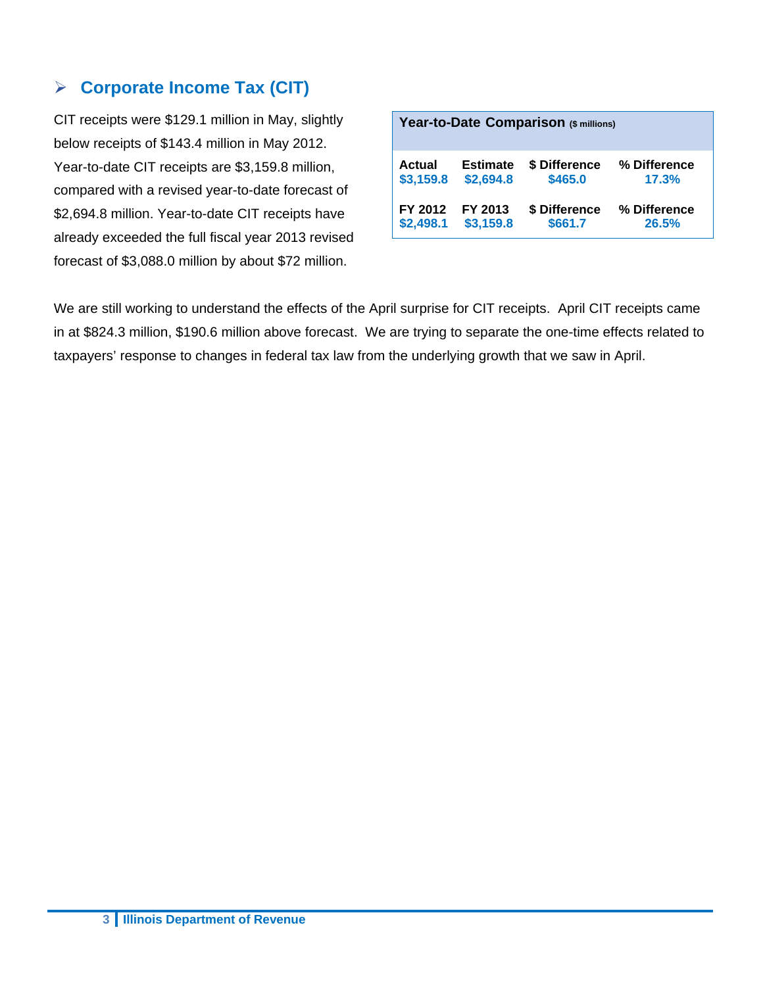#### **Corporate Income Tax (CIT)**

CIT receipts were \$129.1 million in May, slightly below receipts of \$143.4 million in May 2012. Year-to-date CIT receipts are \$3,159.8 million, compared with a revised year-to-date forecast of \$2,694.8 million. Year-to-date CIT receipts have already exceeded the full fiscal year 2013 revised forecast of \$3,088.0 million by about \$72 million.

| Year-to-Date Comparison (\$ millions)                                                             |                              |                          |                       |  |  |  |  |  |
|---------------------------------------------------------------------------------------------------|------------------------------|--------------------------|-----------------------|--|--|--|--|--|
| Actual<br>\$3,159.8                                                                               | <b>Estimate</b><br>\$2,694.8 | \$ Difference<br>\$465.0 | % Difference<br>17.3% |  |  |  |  |  |
| FY 2012<br>FY 2013<br>\$ Difference<br>% Difference<br>\$3,159.8<br>\$2,498.1<br>\$661.7<br>26.5% |                              |                          |                       |  |  |  |  |  |

We are still working to understand the effects of the April surprise for CIT receipts. April CIT receipts came in at \$824.3 million, \$190.6 million above forecast. We are trying to separate the one-time effects related to taxpayers' response to changes in federal tax law from the underlying growth that we saw in April.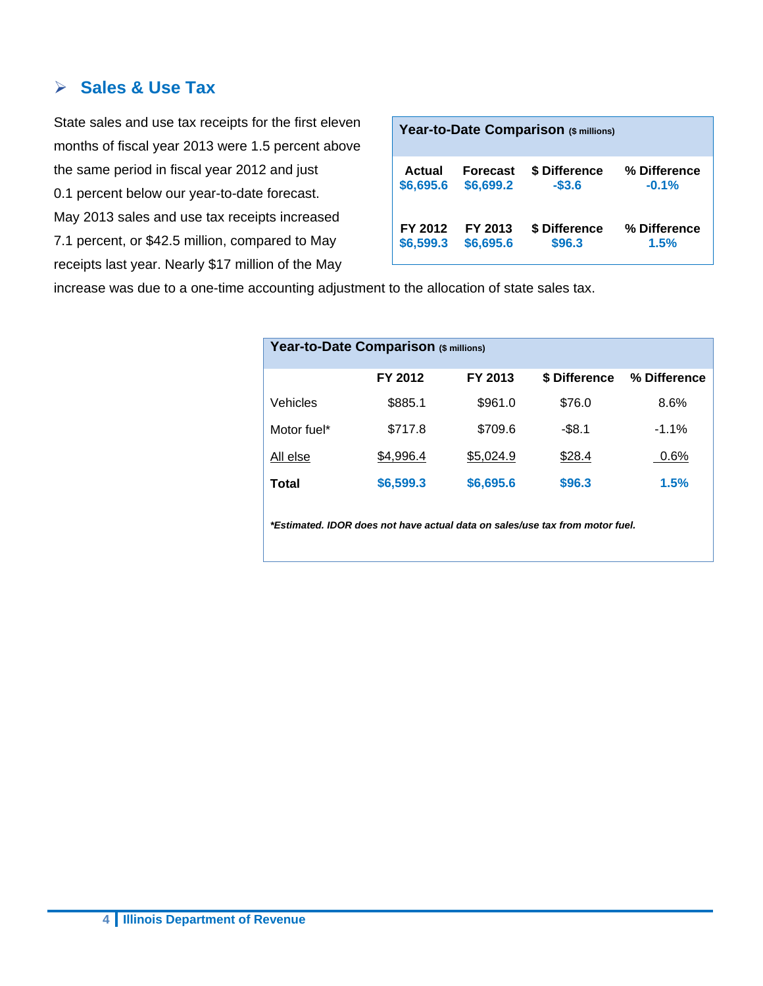#### **Sales & Use Tax**

State sales and use tax receipts for the first eleven months of fiscal year 2013 were 1.5 percent above the same period in fiscal year 2012 and just 0.1 percent below our year-to-date forecast. May 2013 sales and use tax receipts increased 7.1 percent, or \$42.5 million, compared to May receipts last year. Nearly \$17 million of the May

| Year-to-Date Comparison (\$ millions) |                 |               |              |  |  |  |
|---------------------------------------|-----------------|---------------|--------------|--|--|--|
| Actual                                | <b>Forecast</b> | \$ Difference | % Difference |  |  |  |
| \$6,695.6                             | \$6,699.2       | $-$3.6$       | $-0.1%$      |  |  |  |
| FY 2012                               | FY 2013         | \$ Difference | % Difference |  |  |  |
| \$6,599.3                             | \$6,695.6       | \$96.3        | 1.5%         |  |  |  |

increase was due to a one-time accounting adjustment to the allocation of state sales tax.

| Year-to-Date Comparison (\$ millions) |           |           |               |              |  |  |  |
|---------------------------------------|-----------|-----------|---------------|--------------|--|--|--|
|                                       | FY 2012   | FY 2013   | \$ Difference | % Difference |  |  |  |
| Vehicles                              | \$885.1   | \$961.0   | \$76.0        | 8.6%         |  |  |  |
| Motor fuel*                           | \$717.8   | \$709.6   | $-$8.1$       | $-1.1%$      |  |  |  |
| All else                              | \$4,996.4 | \$5,024.9 | \$28.4        | 0.6%         |  |  |  |
| Total                                 | \$6,599.3 | \$6,695.6 | \$96.3        | 1.5%         |  |  |  |
|                                       |           |           |               |              |  |  |  |

*\*Estimated. IDOR does not have actual data on sales/use tax from motor fuel.*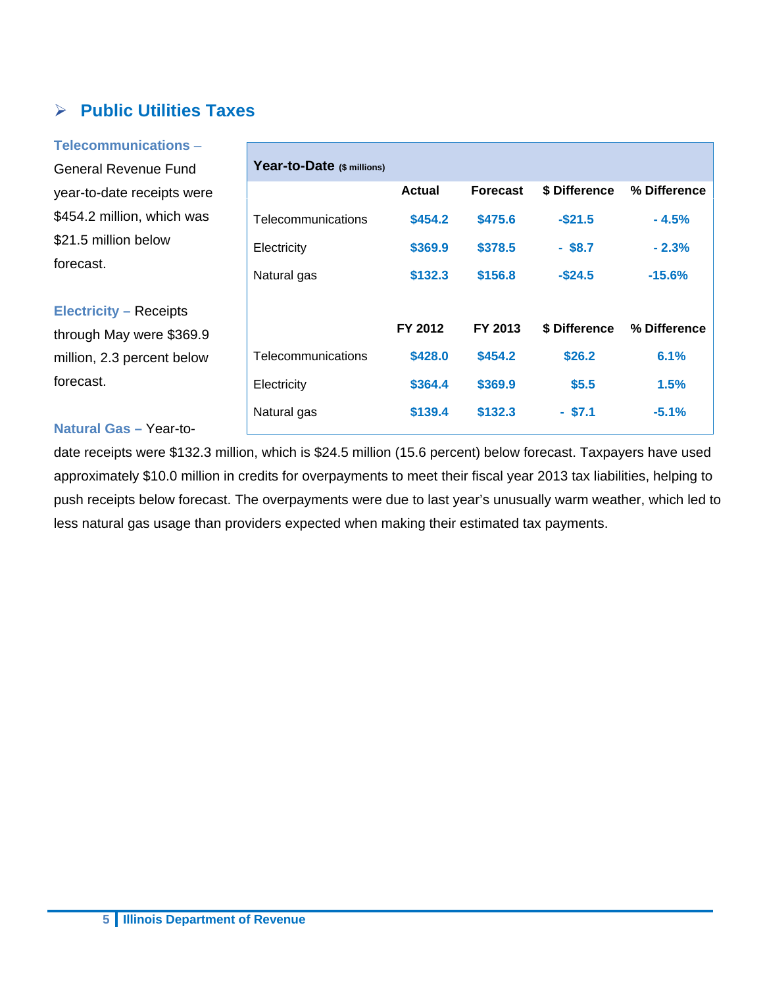## **Public Utilities Taxes**

**Telecommunications** – General Revenue Fund year-to-date receipts were \$454.2 million, which was \$21.5 million below forecast. **Electricity –** Receipts through May were \$369.9 **Year-to-Date (\$ millions)** 

million, 2.3 percent below forecast.

#### **Natural Gas –** Year-to-

date receipts were \$132.3 million, which is \$24.5 million (15.6 percent) below forecast. Taxpayers have used approximately \$10.0 million in credits for overpayments to meet their fiscal year 2013 tax liabilities, helping to push receipts below forecast. The overpayments were due to last year's unusually warm weather, which led to less natural gas usage than providers expected when making their estimated tax payments.

| Year-to-Date (\$ millions) |         |                 |               |              |
|----------------------------|---------|-----------------|---------------|--------------|
|                            | Actual  | <b>Forecast</b> | \$ Difference | % Difference |
| Telecommunications         | \$454.2 | \$475.6         | $-$21.5$      | $-4.5%$      |
| Electricity                | \$369.9 | \$378.5         | $-$ \$8.7     | $-2.3%$      |
| Natural gas                | \$132.3 | \$156.8         | $-$ \$24.5    | $-15.6%$     |
|                            |         |                 |               |              |
|                            | FY 2012 | FY 2013         | \$ Difference | % Difference |
| Telecommunications         | \$428.0 | \$454.2         | \$26.2        | 6.1%         |
| Electricity                | \$364.4 | \$369.9         | \$5.5         | 1.5%         |
| Natural gas                | \$139.4 | \$132.3         | - \$7.1       | $-5.1%$      |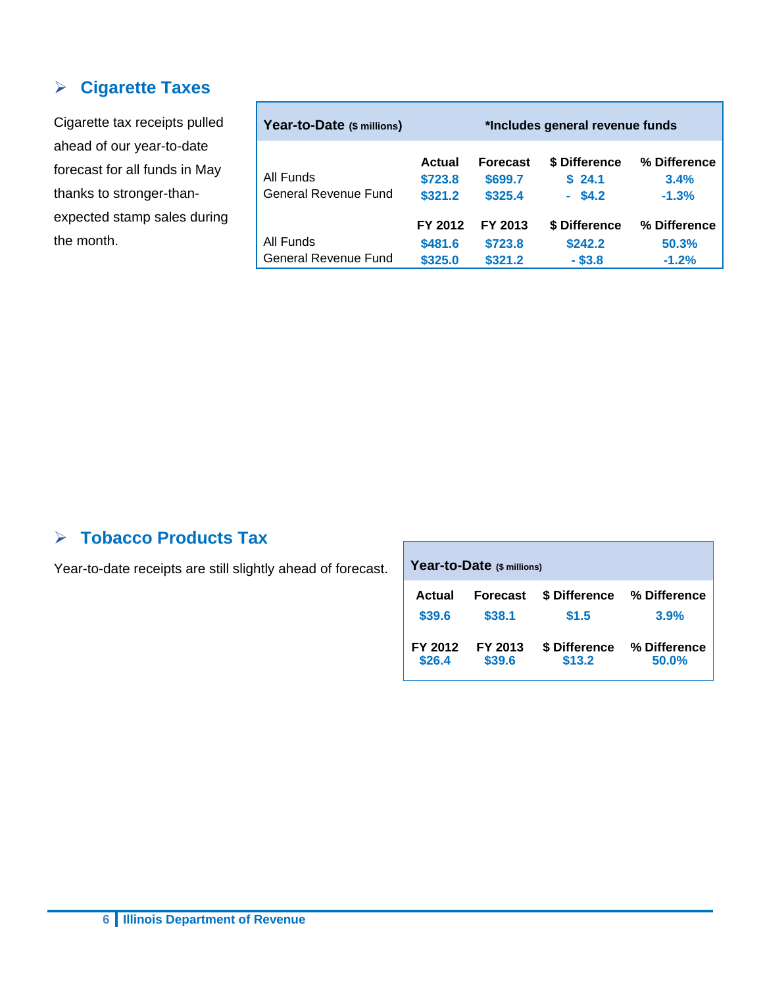#### **Cigarette Taxes**

Cigarette tax receipts pulled ahead of our year-to-date forecast for all funds in May thanks to stronger-thanexpected stamp sales during the month.

| Year-to-Date (\$ millions)        |                               |                                       | *Includes general revenue funds       |                                  |
|-----------------------------------|-------------------------------|---------------------------------------|---------------------------------------|----------------------------------|
| All Funds<br>General Revenue Fund | Actual<br>\$723.8<br>\$321.2  | <b>Forecast</b><br>\$699.7<br>\$325.4 | \$ Difference<br>\$24.1<br>$-$ \$4.2  | % Difference<br>3.4%<br>$-1.3%$  |
| All Funds<br>General Revenue Fund | FY 2012<br>\$481.6<br>\$325.0 | FY 2013<br>\$723.8<br>\$321.2         | \$ Difference<br>\$242.2<br>$-$ \$3.8 | % Difference<br>50.3%<br>$-1.2%$ |

## **Tobacco Products Tax**

Year-to-date receipts are still slightly ahead of forecast.

| Year-to-Date (\$ millions) |                 |               |              |  |  |  |  |
|----------------------------|-----------------|---------------|--------------|--|--|--|--|
| Actual                     | <b>Forecast</b> | \$ Difference | % Difference |  |  |  |  |
| \$39.6                     | \$38.1          | \$1.5         | 3.9%         |  |  |  |  |
| FY 2012                    | FY 2013         | \$ Difference | % Difference |  |  |  |  |
| \$26.4                     | \$39.6          | \$13.2        | 50.0%        |  |  |  |  |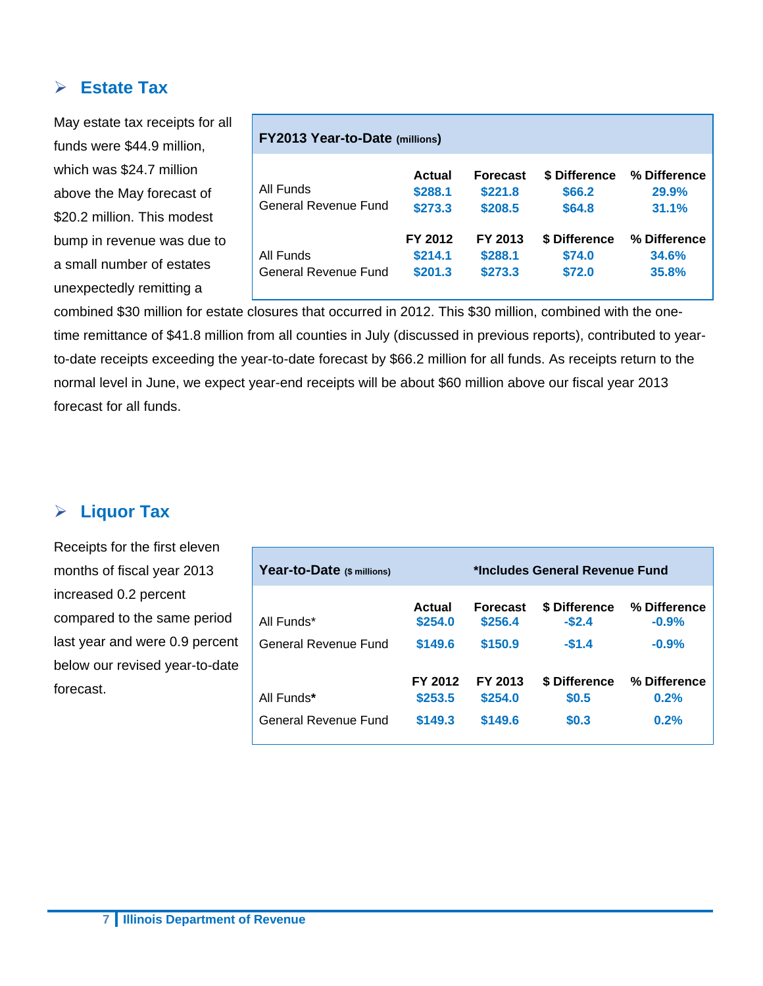#### **Estate Tax**

May estate tax receipts for all funds were \$44.9 million, which was \$24.7 million above the May forecast of \$20.2 million. This modest bump in revenue was due to a small number of estates unexpectedly remitting a

| <b>FY2013 Year-to-Date (millions)</b> |                               |                                       |                                   |                                       |  |  |
|---------------------------------------|-------------------------------|---------------------------------------|-----------------------------------|---------------------------------------|--|--|
| All Funds<br>General Revenue Fund     | Actual<br>\$288.1<br>\$273.3  | <b>Forecast</b><br>\$221.8<br>\$208.5 | \$ Difference<br>\$66.2<br>\$64.8 | % Difference<br><b>29.9%</b><br>31.1% |  |  |
| All Funds<br>General Revenue Fund     | FY 2012<br>\$214.1<br>\$201.3 | FY 2013<br>\$288.1<br>\$273.3         | \$ Difference<br>\$74.0<br>\$72.0 | % Difference<br>34.6%<br>35.8%        |  |  |

combined \$30 million for estate closures that occurred in 2012. This \$30 million, combined with the onetime remittance of \$41.8 million from all counties in July (discussed in previous reports), contributed to yearto-date receipts exceeding the year-to-date forecast by \$66.2 million for all funds. As receipts return to the normal level in June, we expect year-end receipts will be about \$60 million above our fiscal year 2013 forecast for all funds.

#### **Liquor Tax**

Receipts for the first eleven months of fiscal year 2013 increased 0.2 percent compared to the same period last year and were 0.9 percent below our revised year-to-date forecast.

| Year-to-Date (\$ millions) | *Includes General Revenue Fund |                            |                                 |                         |  |
|----------------------------|--------------------------------|----------------------------|---------------------------------|-------------------------|--|
| All Funds*                 | Actual<br>\$254.0              | <b>Forecast</b><br>\$256.4 | <b>\$ Difference</b><br>$-$2.4$ | % Difference<br>$-0.9%$ |  |
| General Revenue Fund       | \$149.6                        | \$150.9                    | $-$1.4$                         | $-0.9%$                 |  |
| All Funds*                 | FY 2012<br>\$253.5             | FY 2013<br>\$254.0         | \$ Difference<br>\$0.5          | % Difference<br>0.2%    |  |
| General Revenue Fund       | \$149.3                        | \$149.6                    | \$0.3                           | 0.2%                    |  |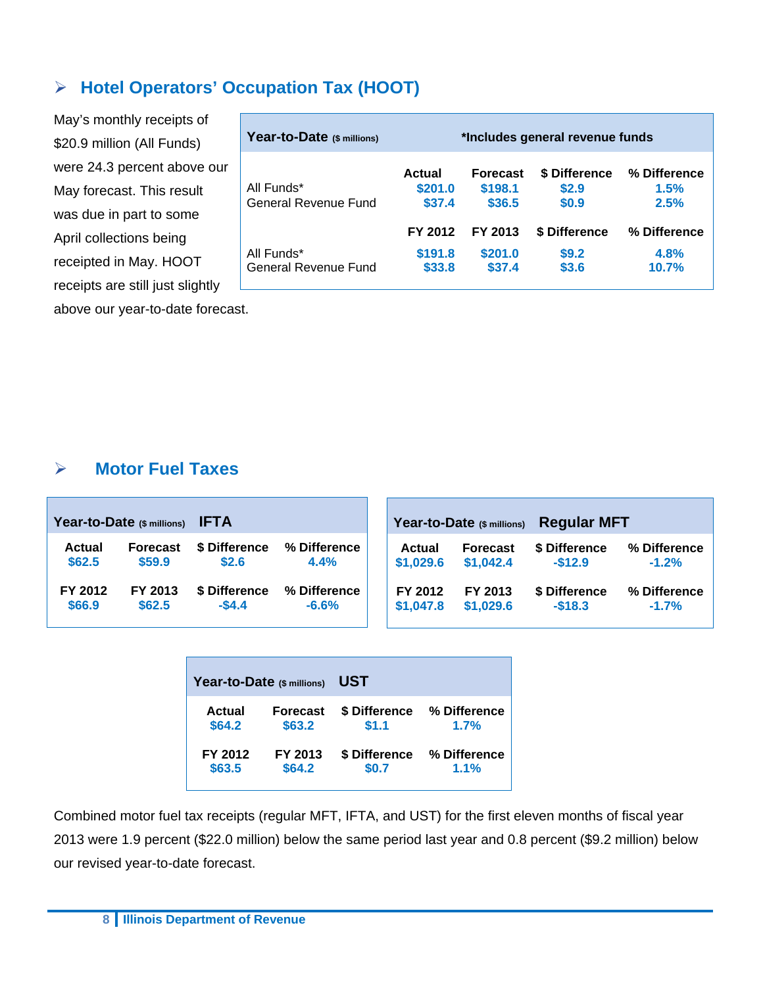### **Hotel Operators' Occupation Tax (HOOT)**

May's monthly receipts of \$20.9 million (All Funds) were 24.3 percent above our May forecast. This result was due in part to some April collections being receipted in May. HOOT receipts are still just slightly above our year-to-date forecast.

| Year-to-Date (\$ millions)         | *Includes general revenue funds |                                      |                                 |                               |  |  |  |
|------------------------------------|---------------------------------|--------------------------------------|---------------------------------|-------------------------------|--|--|--|
| All Funds*<br>General Revenue Fund | Actual<br>\$201.0<br>\$37.4     | <b>Forecast</b><br>\$198.1<br>\$36.5 | \$ Difference<br>\$2.9<br>\$0.9 | % Difference<br>1.5%<br>2.5%  |  |  |  |
| All Funds*<br>General Revenue Fund | FY 2012<br>\$191.8<br>\$33.8    | FY 2013<br>\$201.0<br>\$37.4         | \$ Difference<br>\$9.2<br>\$3.6 | % Difference<br>4.8%<br>10.7% |  |  |  |

### **Motor Fuel Taxes**

|               | Year-to-Date (\$ millions) | <b>IFTA</b>   |              |           | Year-to-Date (\$ millions) | <b>Regular MFT</b> |              |
|---------------|----------------------------|---------------|--------------|-----------|----------------------------|--------------------|--------------|
| <b>Actual</b> | <b>Forecast</b>            | \$ Difference | % Difference | Actual    | Forecast                   | \$ Difference      | % Difference |
| \$62.5        | \$59.9                     | \$2.6         | 4.4%         | \$1,029.6 | \$1,042.4                  | $-$12.9$           | $-1.2%$      |
| FY 2012       | FY 2013                    | \$ Difference | % Difference | FY 2012   | FY 2013                    | \$ Difference      | % Difference |
| \$66.9        | \$62.5                     | $-$4.4$       | $-6.6%$      | \$1,047.8 | \$1,029.6                  | $-$18.3$           | $-1.7%$      |

| Year-to-Date (\$ millions) |                 | <b>UST</b>    |              |  |  |  |  |
|----------------------------|-----------------|---------------|--------------|--|--|--|--|
| Actual                     | <b>Forecast</b> | \$ Difference | % Difference |  |  |  |  |
| \$64.2                     | \$63.2          | \$1.1         | 1.7%         |  |  |  |  |
| FY 2012                    | FY 2013         | \$ Difference | % Difference |  |  |  |  |
| \$63.5                     | \$64.2          | \$0.7         | 1.1%         |  |  |  |  |

Combined motor fuel tax receipts (regular MFT, IFTA, and UST) for the first eleven months of fiscal year 2013 were 1.9 percent (\$22.0 million) below the same period last year and 0.8 percent (\$9.2 million) below our revised year-to-date forecast.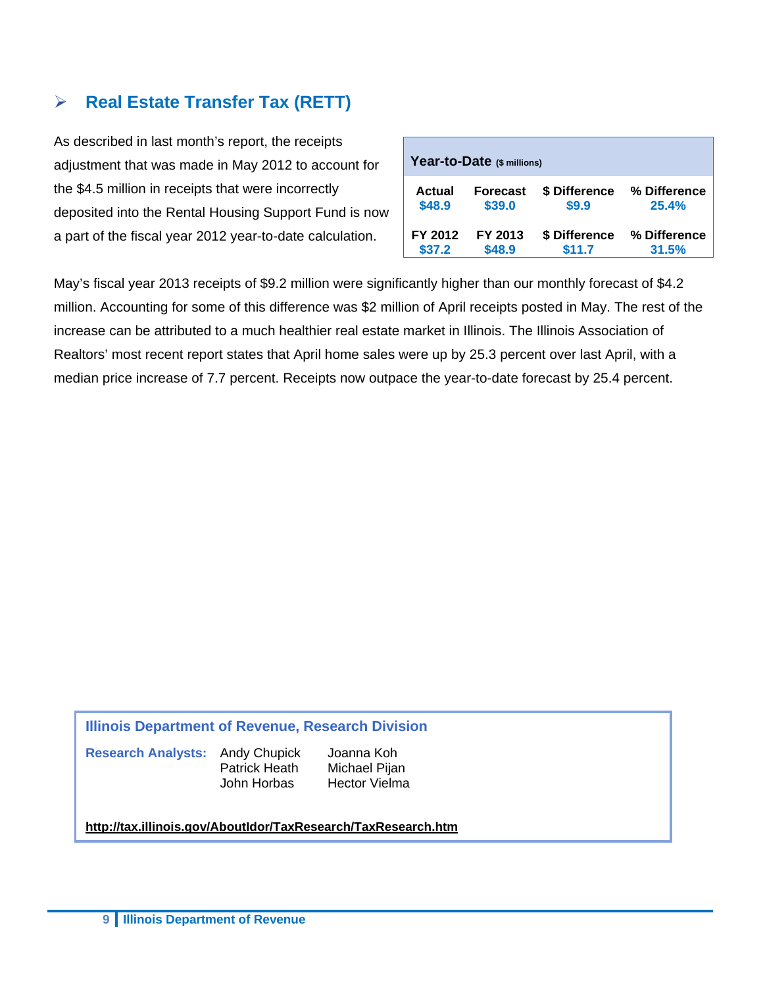## **Real Estate Transfer Tax (RETT)**

As described in last month's report, the receipts adjustment that was made in May 2012 to account for the \$4.5 million in receipts that were incorrectly deposited into the Rental Housing Support Fund is now a part of the fiscal year 2012 year-to-date calculation.

| Year-to-Date (\$ millions) |                 |               |              |  |  |  |  |  |
|----------------------------|-----------------|---------------|--------------|--|--|--|--|--|
| Actual                     | <b>Forecast</b> | \$ Difference | % Difference |  |  |  |  |  |
| \$48.9                     | \$39.0          | \$9.9         | 25.4%        |  |  |  |  |  |
| FY 2012                    | FY 2013         | \$ Difference | % Difference |  |  |  |  |  |
| \$37.2                     | \$48.9          | \$11.7        | 31.5%        |  |  |  |  |  |

May's fiscal year 2013 receipts of \$9.2 million were significantly higher than our monthly forecast of \$4.2 million. Accounting for some of this difference was \$2 million of April receipts posted in May. The rest of the increase can be attributed to a much healthier real estate market in Illinois. The Illinois Association of Realtors' most recent report states that April home sales were up by 25.3 percent over last April, with a median price increase of 7.7 percent. Receipts now outpace the year-to-date forecast by 25.4 percent.

#### **Illinois Department of Revenue, Research Division**

**Research Analysts:** Andy Chupick Joanna Koh

Patrick Heath Michael Pijan John Horbas Hector Vielma

#### **http://tax.illinois.gov/AboutIdor/TaxResearch/TaxResearch.htm**